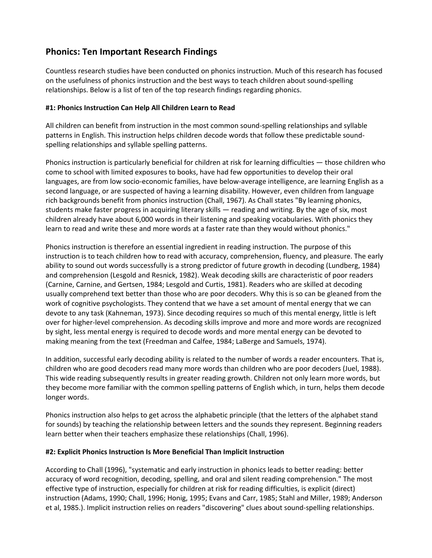# **Phonics: Ten Important Research Findings**

Countless research studies have been conducted on phonics instruction. Much of this research has focused on the usefulness of phonics instruction and the best ways to teach children about sound‐spelling relationships. Below is a list of ten of the top research findings regarding phonics.

## **#1: Phonics Instruction Can Help All Children Learn to Read**

All children can benefit from instruction in the most common sound‐spelling relationships and syllable patterns in English. This instruction helps children decode words that follow these predictable sound‐ spelling relationships and syllable spelling patterns.

Phonics instruction is particularly beneficial for children at risk for learning difficulties — those children who come to school with limited exposures to books, have had few opportunities to develop their oral languages, are from low socio‐economic families, have below‐average intelligence, are learning English as a second language, or are suspected of having a learning disability. However, even children from language rich backgrounds benefit from phonics instruction (Chall, 1967). As Chall states "By learning phonics, students make faster progress in acquiring literary skills — reading and writing. By the age of six, most children already have about 6,000 words in their listening and speaking vocabularies. With phonics they learn to read and write these and more words at a faster rate than they would without phonics."

Phonics instruction is therefore an essential ingredient in reading instruction. The purpose of this instruction is to teach children how to read with accuracy, comprehension, fluency, and pleasure. The early ability to sound out words successfully is a strong predictor of future growth in decoding (Lundberg, 1984) and comprehension (Lesgold and Resnick, 1982). Weak decoding skills are characteristic of poor readers (Carnine, Carnine, and Gertsen, 1984; Lesgold and Curtis, 1981). Readers who are skilled at decoding usually comprehend text better than those who are poor decoders. Why this is so can be gleaned from the work of cognitive psychologists. They contend that we have a set amount of mental energy that we can devote to any task (Kahneman, 1973). Since decoding requires so much of this mental energy, little is left over for higher‐level comprehension. As decoding skills improve and more and more words are recognized by sight, less mental energy is required to decode words and more mental energy can be devoted to making meaning from the text (Freedman and Calfee, 1984; LaBerge and Samuels, 1974).

In addition, successful early decoding ability is related to the number of words a reader encounters. That is, children who are good decoders read many more words than children who are poor decoders (Juel, 1988). This wide reading subsequently results in greater reading growth. Children not only learn more words, but they become more familiar with the common spelling patterns of English which, in turn, helps them decode longer words.

Phonics instruction also helps to get across the alphabetic principle (that the letters of the alphabet stand for sounds) by teaching the relationship between letters and the sounds they represent. Beginning readers learn better when their teachers emphasize these relationships (Chall, 1996).

#### **#2: Explicit Phonics Instruction Is More Beneficial Than Implicit Instruction**

According to Chall (1996), "systematic and early instruction in phonics leads to better reading: better accuracy of word recognition, decoding, spelling, and oral and silent reading comprehension." The most effective type of instruction, especially for children at risk for reading difficulties, is explicit (direct) instruction (Adams, 1990; Chall, 1996; Honig, 1995; Evans and Carr, 1985; Stahl and Miller, 1989; Anderson et al, 1985.). Implicit instruction relies on readers "discovering" clues about sound‐spelling relationships.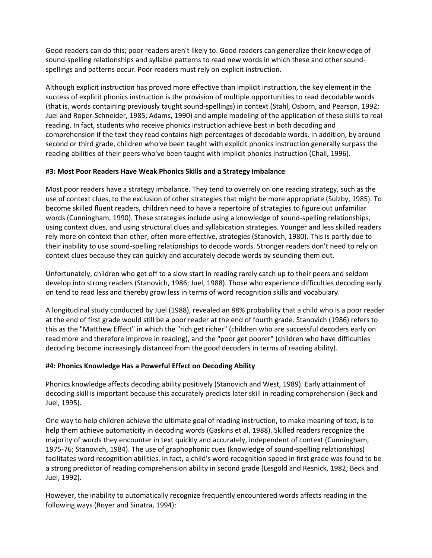Good readers can do this; poor readers aren't likely to. Good readers can generalize their knowledge of sound-spelling relationships and syllable patterns to read new words in which these and other soundspellings and patterns occur. Poor readers must rely on explicit instruction.

Although explicit instruction has proved more effective than implicit instruction, the key element in the success of explicit phonics instruction is the provision of multiple opportunities to read decodable words (that is, words containing previously taught sound‐spellings) in context (Stahl, Osborn, and Pearson, 1992; Juel and Roper‐Schneider, 1985; Adams, 1990) and ample modeling of the application of these skills to real reading. In fact, students who receive phonics instruction achieve best in both decoding and comprehension if the text they read contains high percentages of decodable words. In addition, by around second or third grade, children who've been taught with explicit phonics instruction generally surpass the reading abilities of their peers who've been taught with implicit phonics instruction (Chall, 1996).

## **#3: Most Poor Readers Have Weak Phonics Skills and a Strategy Imbalance**

Most poor readers have a strategy imbalance. They tend to overrely on one reading strategy, such as the use of context clues, to the exclusion of other strategies that might be more appropriate (Sulzby, 1985). To become skilled fluent readers, children need to have a repertoire of strategies to figure out unfamiliar words (Cunningham, 1990). These strategies include using a knowledge of sound-spelling relationships, using context clues, and using structural clues and syllabication strategies. Younger and less skilled readers rely more on context than other, often more effective, strategies (Stanovich, 1980). This is partly due to their inability to use sound‐spelling relationships to decode words. Stronger readers don't need to rely on context clues because they can quickly and accurately decode words by sounding them out.

Unfortunately, children who get off to a slow start in reading rarely catch up to their peers and seldom develop into strong readers (Stanovich, 1986; Juel, 1988). Those who experience difficulties decoding early on tend to read less and thereby grow less in terms of word recognition skills and vocabulary.

A longitudinal study conducted by Juel (1988), revealed an 88% probability that a child who is a poor reader at the end of first grade would still be a poor reader at the end of fourth grade. Stanovich (1986) refers to this as the "Matthew Effect" in which the "rich get richer" (children who are successful decoders early on read more and therefore improve in reading), and the "poor get poorer" (children who have difficulties decoding become increasingly distanced from the good decoders in terms of reading ability).

# **#4: Phonics Knowledge Has a Powerful Effect on Decoding Ability**

Phonics knowledge affects decoding ability positively (Stanovich and West, 1989). Early attainment of decoding skill is important because this accurately predicts later skill in reading comprehension (Beck and Juel, 1995).

One way to help children achieve the ultimate goal of reading instruction, to make meaning of text, is to help them achieve automaticity in decoding words (Gaskins et al, 1988). Skilled readers recognize the majority of words they encounter in text quickly and accurately, independent of context (Cunningham, 1975-76; Stanovich, 1984). The use of graphophonic cues (knowledge of sound-spelling relationships) facilitates word recognition abilities. In fact, a child's word recognition speed in first grade was found to be a strong predictor of reading comprehension ability in second grade (Lesgold and Resnick, 1982; Beck and Juel, 1992).

However, the inability to automatically recognize frequently encountered words affects reading in the following ways (Royer and Sinatra, 1994):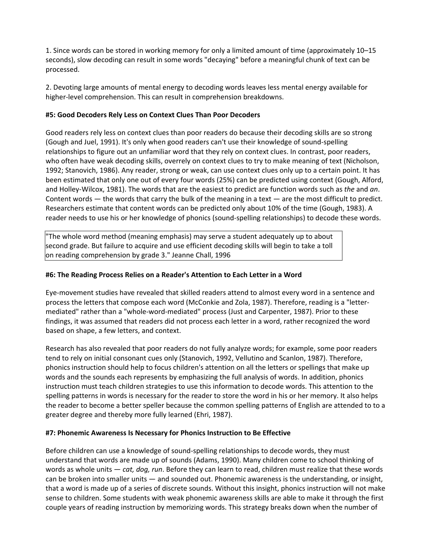1. Since words can be stored in working memory for only a limited amount of time (approximately 10–15 seconds), slow decoding can result in some words "decaying" before a meaningful chunk of text can be processed.

2. Devoting large amounts of mental energy to decoding words leaves less mental energy available for higher-level comprehension. This can result in comprehension breakdowns.

## **#5: Good Decoders Rely Less on Context Clues Than Poor Decoders**

Good readers rely less on context clues than poor readers do because their decoding skills are so strong (Gough and Juel, 1991). It's only when good readers can't use their knowledge of sound‐spelling relationships to figure out an unfamiliar word that they rely on context clues. In contrast, poor readers, who often have weak decoding skills, overrely on context clues to try to make meaning of text (Nicholson, 1992; Stanovich, 1986). Any reader, strong or weak, can use context clues only up to a certain point. It has been estimated that only one out of every four words (25%) can be predicted using context (Gough, Alford, and Holley‐Wilcox, 1981). The words that are the easiest to predict are function words such as *the* and *an*. Content words — the words that carry the bulk of the meaning in a text — are the most difficult to predict. Researchers estimate that content words can be predicted only about 10% of the time (Gough, 1983). A reader needs to use his or her knowledge of phonics (sound‐spelling relationships) to decode these words.

"The whole word method (meaning emphasis) may serve a student adequately up to about second grade. But failure to acquire and use efficient decoding skills will begin to take a toll on reading comprehension by grade 3." Jeanne Chall, 1996

## **#6: The Reading Process Relies on a Reader's Attention to Each Letter in a Word**

Eye‐movement studies have revealed that skilled readers attend to almost every word in a sentence and process the letters that compose each word (McConkie and Zola, 1987). Therefore, reading is a "letter‐ mediated" rather than a "whole‐word‐mediated" process (Just and Carpenter, 1987). Prior to these findings, it was assumed that readers did not process each letter in a word, rather recognized the word based on shape, a few letters, and context.

Research has also revealed that poor readers do not fully analyze words; for example, some poor readers tend to rely on initial consonant cues only (Stanovich, 1992, Vellutino and Scanlon, 1987). Therefore, phonics instruction should help to focus children's attention on all the letters or spellings that make up words and the sounds each represents by emphasizing the full analysis of words. In addition, phonics instruction must teach children strategies to use this information to decode words. This attention to the spelling patterns in words is necessary for the reader to store the word in his or her memory. It also helps the reader to become a better speller because the common spelling patterns of English are attended to to a greater degree and thereby more fully learned (Ehri, 1987).

#### **#7: Phonemic Awareness Is Necessary for Phonics Instruction to Be Effective**

Before children can use a knowledge of sound-spelling relationships to decode words, they must understand that words are made up of sounds (Adams, 1990). Many children come to school thinking of words as whole units — *cat, dog, run*. Before they can learn to read, children must realize that these words can be broken into smaller units — and sounded out. Phonemic awareness is the understanding, or insight, that a word is made up of a series of discrete sounds. Without this insight, phonics instruction will not make sense to children. Some students with weak phonemic awareness skills are able to make it through the first couple years of reading instruction by memorizing words. This strategy breaks down when the number of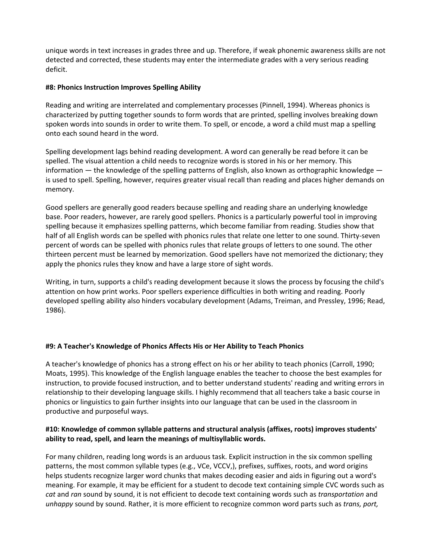unique words in text increases in grades three and up. Therefore, if weak phonemic awareness skills are not detected and corrected, these students may enter the intermediate grades with a very serious reading deficit.

## **#8: Phonics Instruction Improves Spelling Ability**

Reading and writing are interrelated and complementary processes (Pinnell, 1994). Whereas phonics is characterized by putting together sounds to form words that are printed, spelling involves breaking down spoken words into sounds in order to write them. To spell, or encode, a word a child must map a spelling onto each sound heard in the word.

Spelling development lags behind reading development. A word can generally be read before it can be spelled. The visual attention a child needs to recognize words is stored in his or her memory. This information — the knowledge of the spelling patterns of English, also known as orthographic knowledge is used to spell. Spelling, however, requires greater visual recall than reading and places higher demands on memory.

Good spellers are generally good readers because spelling and reading share an underlying knowledge base. Poor readers, however, are rarely good spellers. Phonics is a particularly powerful tool in improving spelling because it emphasizes spelling patterns, which become familiar from reading. Studies show that half of all English words can be spelled with phonics rules that relate one letter to one sound. Thirty-seven percent of words can be spelled with phonics rules that relate groups of letters to one sound. The other thirteen percent must be learned by memorization. Good spellers have not memorized the dictionary; they apply the phonics rules they know and have a large store of sight words.

Writing, in turn, supports a child's reading development because it slows the process by focusing the child's attention on how print works. Poor spellers experience difficulties in both writing and reading. Poorly developed spelling ability also hinders vocabulary development (Adams, Treiman, and Pressley, 1996; Read, 1986).

# **#9: A Teacher's Knowledge of Phonics Affects His or Her Ability to Teach Phonics**

A teacher's knowledge of phonics has a strong effect on his or her ability to teach phonics (Carroll, 1990; Moats, 1995). This knowledge of the English language enables the teacher to choose the best examples for instruction, to provide focused instruction, and to better understand students' reading and writing errors in relationship to their developing language skills. I highly recommend that all teachers take a basic course in phonics or linguistics to gain further insights into our language that can be used in the classroom in productive and purposeful ways.

## **#10: Knowledge of common syllable patterns and structural analysis (affixes, roots) improves students' ability to read, spell, and learn the meanings of multisyllablic words.**

For many children, reading long words is an arduous task. Explicit instruction in the six common spelling patterns, the most common syllable types (e.g., VCe, VCCV,), prefixes, suffixes, roots, and word origins helps students recognize larger word chunks that makes decoding easier and aids in figuring out a word's meaning. For example, it may be efficient for a student to decode text containing simple CVC words such as *cat* and *ran* sound by sound, it is not efficient to decode text containing words such as *transportation* and *unhappy* sound by sound. Rather, it is more efficient to recognize common word parts such as *trans, port,*